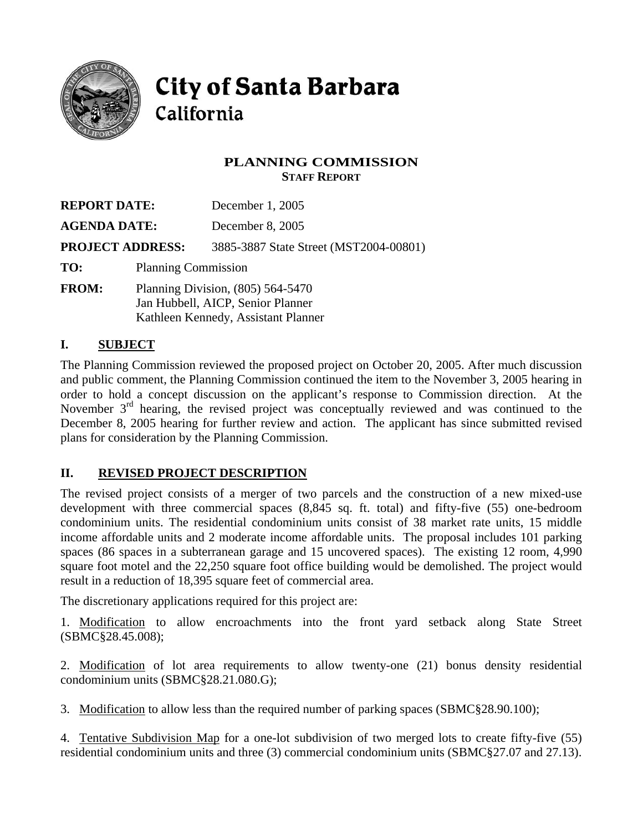

**City of Santa Barbara** California

# **PLANNING COMMISSION STAFF REPORT**

| <b>REPORT DATE:</b><br><b>AGENDA DATE:</b> |                                                                                                               | December 1, 2005                       |  |
|--------------------------------------------|---------------------------------------------------------------------------------------------------------------|----------------------------------------|--|
|                                            |                                                                                                               | December 8, 2005                       |  |
| <b>PROJECT ADDRESS:</b>                    |                                                                                                               | 3885-3887 State Street (MST2004-00801) |  |
| TO:                                        | <b>Planning Commission</b>                                                                                    |                                        |  |
| <b>FROM:</b>                               | Planning Division, (805) 564-5470<br>Jan Hubbell, AICP, Senior Planner<br>Kathleen Kennedy, Assistant Planner |                                        |  |

## **I. SUBJECT**

The Planning Commission reviewed the proposed project on October 20, 2005. After much discussion and public comment, the Planning Commission continued the item to the November 3, 2005 hearing in order to hold a concept discussion on the applicant's response to Commission direction. At the November 3<sup>rd</sup> hearing, the revised project was conceptually reviewed and was continued to the December 8, 2005 hearing for further review and action. The applicant has since submitted revised plans for consideration by the Planning Commission.

## **II. REVISED PROJECT DESCRIPTION**

The revised project consists of a merger of two parcels and the construction of a new mixed-use development with three commercial spaces (8,845 sq. ft. total) and fifty-five (55) one-bedroom condominium units. The residential condominium units consist of 38 market rate units, 15 middle income affordable units and 2 moderate income affordable units. The proposal includes 101 parking spaces (86 spaces in a subterranean garage and 15 uncovered spaces). The existing 12 room, 4,990 square foot motel and the 22,250 square foot office building would be demolished. The project would result in a reduction of 18,395 square feet of commercial area.

The discretionary applications required for this project are:

1. Modification to allow encroachments into the front yard setback along State Street (SBMC§28.45.008);

2. Modification of lot area requirements to allow twenty-one (21) bonus density residential condominium units (SBMC§28.21.080.G);

3. Modification to allow less than the required number of parking spaces (SBMC§28.90.100);

4. Tentative Subdivision Map for a one-lot subdivision of two merged lots to create fifty-five (55) residential condominium units and three (3) commercial condominium units (SBMC§27.07 and 27.13).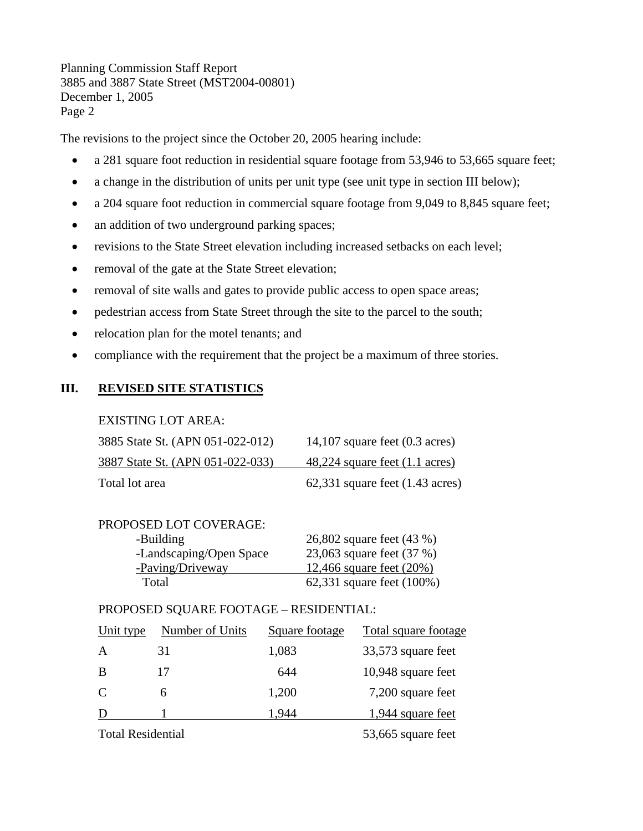The revisions to the project since the October 20, 2005 hearing include:

- a 281 square foot reduction in residential square footage from 53,946 to 53,665 square feet;
- a change in the distribution of units per unit type (see unit type in section III below);
- a 204 square foot reduction in commercial square footage from 9,049 to 8,845 square feet;
- an addition of two underground parking spaces;
- revisions to the State Street elevation including increased setbacks on each level;
- removal of the gate at the State Street elevation;
- removal of site walls and gates to provide public access to open space areas;
- pedestrian access from State Street through the site to the parcel to the south;
- relocation plan for the motel tenants; and
- compliance with the requirement that the project be a maximum of three stories.

# **III. REVISED SITE STATISTICS**

#### EXISTING LOT AREA:

| 3885 State St. (APN 051-022-012) | 14,107 square feet $(0.3 \text{ acres})$    |
|----------------------------------|---------------------------------------------|
| 3887 State St. (APN 051-022-033) | $48,224$ square feet $(1.1 \text{ acres})$  |
| Total lot area                   | $62,331$ square feet $(1.43 \text{ acres})$ |

| PROPOSED LOT COVERAGE:  |                           |
|-------------------------|---------------------------|
| -Building               | 26,802 square feet (43 %) |
| -Landscaping/Open Space | 23,063 square feet (37 %) |
| -Paving/Driveway        | 12,466 square feet (20%)  |
| Total                   | 62,331 square feet (100%) |

### PROPOSED SQUARE FOOTAGE – RESIDENTIAL:

| Unit type | Number of Units | Square footage | Total square footage |
|-----------|-----------------|----------------|----------------------|
|           | 31              | 1,083          | 33,573 square feet   |
| B         | 17              | 644            | 10,948 square feet   |
| C         | 6               | 1,200          | 7,200 square feet    |
|           |                 | 1.944          | 1,944 square feet    |
|           |                 |                |                      |

Total Residential 53,665 square feet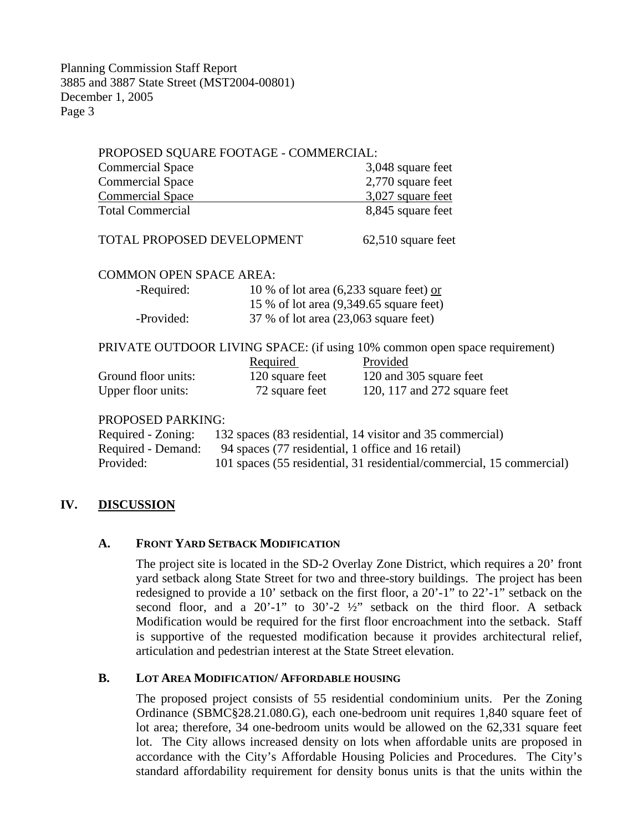| PROPOSED SQUARE FOOTAGE - COMMERCIAL: |                 |                                                                            |
|---------------------------------------|-----------------|----------------------------------------------------------------------------|
| <b>Commercial Space</b>               |                 | 3,048 square feet                                                          |
| <b>Commercial Space</b>               |                 | 2,770 square feet                                                          |
| <b>Commercial Space</b>               |                 | 3,027 square feet                                                          |
| <b>Total Commercial</b>               |                 | 8,845 square feet                                                          |
| TOTAL PROPOSED DEVELOPMENT            |                 | 62,510 square feet                                                         |
| <b>COMMON OPEN SPACE AREA:</b>        |                 |                                                                            |
| -Required:                            |                 | 10 % of lot area $(6,233)$ square feet) or                                 |
|                                       |                 | 15 % of lot area (9,349.65 square feet)                                    |
| -Provided:                            |                 | 37 % of lot area (23,063 square feet)                                      |
|                                       |                 | PRIVATE OUTDOOR LIVING SPACE: (if using 10% common open space requirement) |
|                                       | Required        | Provided                                                                   |
| Ground floor units:                   | 120 square feet | 120 and 305 square feet                                                    |
| Upper floor units:                    | 72 square feet  | 120, 117 and 272 square feet                                               |

#### PROPOSED PARKING:

| Required - Zoning: | 132 spaces (83 residential, 14 visitor and 35 commercial)             |
|--------------------|-----------------------------------------------------------------------|
| Required - Demand: | 94 spaces (77 residential, 1 office and 16 retail)                    |
| Provided:          | 101 spaces (55 residential, 31 residential/commercial, 15 commercial) |

## **IV. DISCUSSION**

### **A. FRONT YARD SETBACK MODIFICATION**

The project site is located in the SD-2 Overlay Zone District, which requires a 20' front yard setback along State Street for two and three-story buildings. The project has been redesigned to provide a 10' setback on the first floor, a 20'-1" to 22'-1" setback on the second floor, and a  $20'-1$ " to  $30'-2$   $\frac{1}{2}$ " setback on the third floor. A setback Modification would be required for the first floor encroachment into the setback. Staff is supportive of the requested modification because it provides architectural relief, articulation and pedestrian interest at the State Street elevation.

### **B. LOT AREA MODIFICATION/ AFFORDABLE HOUSING**

The proposed project consists of 55 residential condominium units. Per the Zoning Ordinance (SBMC§28.21.080.G), each one-bedroom unit requires 1,840 square feet of lot area; therefore, 34 one-bedroom units would be allowed on the 62,331 square feet lot. The City allows increased density on lots when affordable units are proposed in accordance with the City's Affordable Housing Policies and Procedures. The City's standard affordability requirement for density bonus units is that the units within the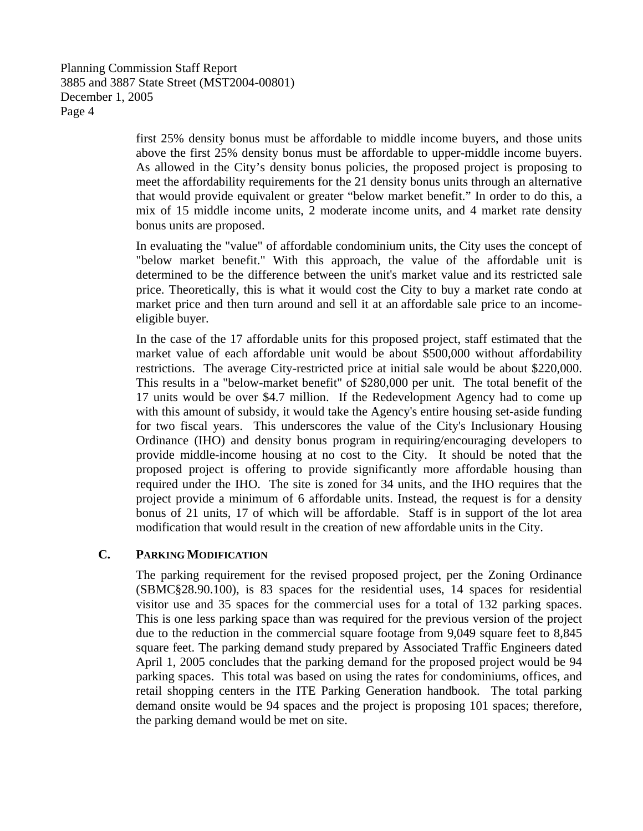> first 25% density bonus must be affordable to middle income buyers, and those units above the first 25% density bonus must be affordable to upper-middle income buyers. As allowed in the City's density bonus policies, the proposed project is proposing to meet the affordability requirements for the 21 density bonus units through an alternative that would provide equivalent or greater "below market benefit." In order to do this, a mix of 15 middle income units, 2 moderate income units, and 4 market rate density bonus units are proposed.

> In evaluating the "value" of affordable condominium units, the City uses the concept of "below market benefit." With this approach, the value of the affordable unit is determined to be the difference between the unit's market value and its restricted sale price. Theoretically, this is what it would cost the City to buy a market rate condo at market price and then turn around and sell it at an affordable sale price to an incomeeligible buyer.

> In the case of the 17 affordable units for this proposed project, staff estimated that the market value of each affordable unit would be about \$500,000 without affordability restrictions. The average City-restricted price at initial sale would be about \$220,000. This results in a "below-market benefit" of \$280,000 per unit. The total benefit of the 17 units would be over \$4.7 million. If the Redevelopment Agency had to come up with this amount of subsidy, it would take the Agency's entire housing set-aside funding for two fiscal years. This underscores the value of the City's Inclusionary Housing Ordinance (IHO) and density bonus program in requiring/encouraging developers to provide middle-income housing at no cost to the City. It should be noted that the proposed project is offering to provide significantly more affordable housing than required under the IHO. The site is zoned for 34 units, and the IHO requires that the project provide a minimum of 6 affordable units. Instead, the request is for a density bonus of 21 units, 17 of which will be affordable. Staff is in support of the lot area modification that would result in the creation of new affordable units in the City.

### **C. PARKING MODIFICATION**

The parking requirement for the revised proposed project, per the Zoning Ordinance (SBMC§28.90.100), is 83 spaces for the residential uses, 14 spaces for residential visitor use and 35 spaces for the commercial uses for a total of 132 parking spaces. This is one less parking space than was required for the previous version of the project due to the reduction in the commercial square footage from 9,049 square feet to 8,845 square feet. The parking demand study prepared by Associated Traffic Engineers dated April 1, 2005 concludes that the parking demand for the proposed project would be 94 parking spaces. This total was based on using the rates for condominiums, offices, and retail shopping centers in the ITE Parking Generation handbook. The total parking demand onsite would be 94 spaces and the project is proposing 101 spaces; therefore, the parking demand would be met on site.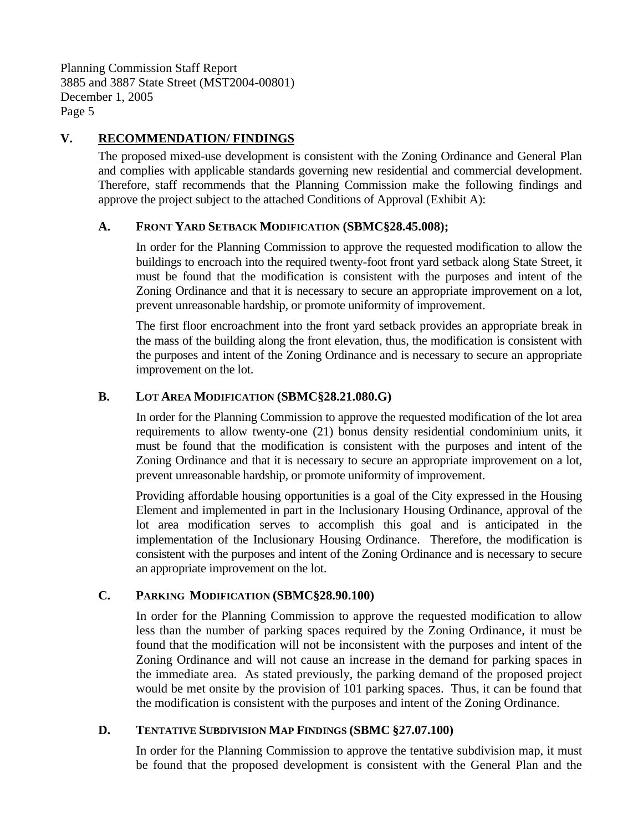## **V. RECOMMENDATION/ FINDINGS**

The proposed mixed-use development is consistent with the Zoning Ordinance and General Plan and complies with applicable standards governing new residential and commercial development. Therefore, staff recommends that the Planning Commission make the following findings and approve the project subject to the attached Conditions of Approval (Exhibit A):

### **A. FRONT YARD SETBACK MODIFICATION (SBMC§28.45.008);**

In order for the Planning Commission to approve the requested modification to allow the buildings to encroach into the required twenty-foot front yard setback along State Street, it must be found that the modification is consistent with the purposes and intent of the Zoning Ordinance and that it is necessary to secure an appropriate improvement on a lot, prevent unreasonable hardship, or promote uniformity of improvement.

The first floor encroachment into the front yard setback provides an appropriate break in the mass of the building along the front elevation, thus, the modification is consistent with the purposes and intent of the Zoning Ordinance and is necessary to secure an appropriate improvement on the lot.

## **B. LOT AREA MODIFICATION (SBMC§28.21.080.G)**

In order for the Planning Commission to approve the requested modification of the lot area requirements to allow twenty-one (21) bonus density residential condominium units, it must be found that the modification is consistent with the purposes and intent of the Zoning Ordinance and that it is necessary to secure an appropriate improvement on a lot, prevent unreasonable hardship, or promote uniformity of improvement.

Providing affordable housing opportunities is a goal of the City expressed in the Housing Element and implemented in part in the Inclusionary Housing Ordinance, approval of the lot area modification serves to accomplish this goal and is anticipated in the implementation of the Inclusionary Housing Ordinance. Therefore, the modification is consistent with the purposes and intent of the Zoning Ordinance and is necessary to secure an appropriate improvement on the lot.

## **C. PARKING MODIFICATION (SBMC§28.90.100)**

In order for the Planning Commission to approve the requested modification to allow less than the number of parking spaces required by the Zoning Ordinance, it must be found that the modification will not be inconsistent with the purposes and intent of the Zoning Ordinance and will not cause an increase in the demand for parking spaces in the immediate area. As stated previously, the parking demand of the proposed project would be met onsite by the provision of 101 parking spaces. Thus, it can be found that the modification is consistent with the purposes and intent of the Zoning Ordinance.

## **D. TENTATIVE SUBDIVISION MAP FINDINGS (SBMC §27.07.100)**

In order for the Planning Commission to approve the tentative subdivision map, it must be found that the proposed development is consistent with the General Plan and the